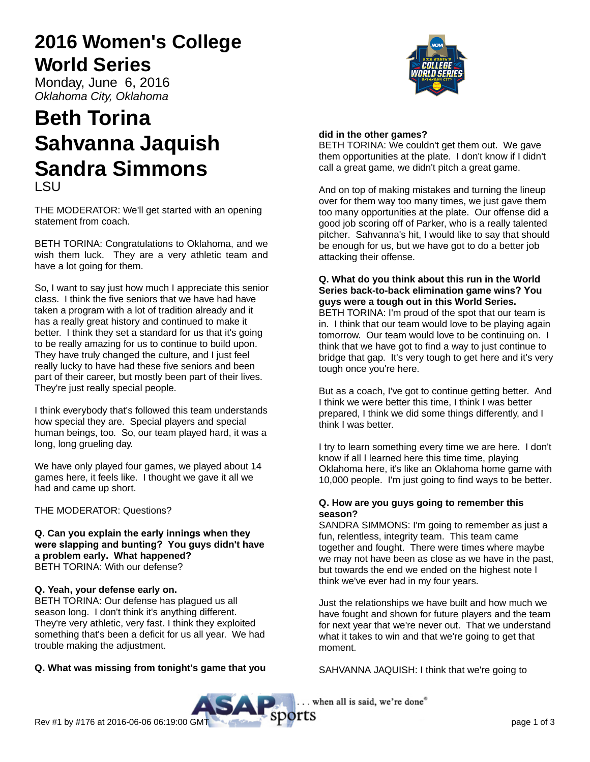# **2016 Women's College World Series**

Monday, June 6, 2016 Oklahoma City, Oklahoma

## **Beth Torina Sahvanna Jaquish Sandra Simmons** LSU

THE MODERATOR: We'll get started with an opening statement from coach.

BETH TORINA: Congratulations to Oklahoma, and we wish them luck. They are a very athletic team and have a lot going for them.

So, I want to say just how much I appreciate this senior class. I think the five seniors that we have had have taken a program with a lot of tradition already and it has a really great history and continued to make it better. I think they set a standard for us that it's going to be really amazing for us to continue to build upon. They have truly changed the culture, and I just feel really lucky to have had these five seniors and been part of their career, but mostly been part of their lives. They're just really special people.

I think everybody that's followed this team understands how special they are. Special players and special human beings, too. So, our team played hard, it was a long, long grueling day.

We have only played four games, we played about 14 games here, it feels like. I thought we gave it all we had and came up short.

THE MODERATOR: Questions?

**Q. Can you explain the early innings when they were slapping and bunting? You guys didn't have a problem early. What happened?** BETH TORINA: With our defense?

#### **Q. Yeah, your defense early on.**

BETH TORINA: Our defense has plagued us all season long. I don't think it's anything different. They're very athletic, very fast. I think they exploited something that's been a deficit for us all year. We had trouble making the adjustment.

## **Q. What was missing from tonight's game that you**

### **did in the other games?**

BETH TORINA: We couldn't get them out. We gave them opportunities at the plate. I don't know if I didn't call a great game, we didn't pitch a great game.

And on top of making mistakes and turning the lineup over for them way too many times, we just gave them too many opportunities at the plate. Our offense did a good job scoring off of Parker, who is a really talented pitcher. Sahvanna's hit, I would like to say that should be enough for us, but we have got to do a better job attacking their offense.

#### **Q. What do you think about this run in the World Series back-to-back elimination game wins? You guys were a tough out in this World Series.**

BETH TORINA: I'm proud of the spot that our team is in. I think that our team would love to be playing again tomorrow. Our team would love to be continuing on. I think that we have got to find a way to just continue to bridge that gap. It's very tough to get here and it's very tough once you're here.

But as a coach, I've got to continue getting better. And I think we were better this time, I think I was better prepared, I think we did some things differently, and I think I was better.

I try to learn something every time we are here. I don't know if all I learned here this time time, playing Oklahoma here, it's like an Oklahoma home game with 10,000 people. I'm just going to find ways to be better.

#### **Q. How are you guys going to remember this season?**

SANDRA SIMMONS: I'm going to remember as just a fun, relentless, integrity team. This team came together and fought. There were times where maybe we may not have been as close as we have in the past, but towards the end we ended on the highest note I think we've ever had in my four years.

Just the relationships we have built and how much we have fought and shown for future players and the team for next year that we're never out. That we understand what it takes to win and that we're going to get that moment.

SAHVANNA JAQUISH: I think that we're going to

. when all is said, we're done"

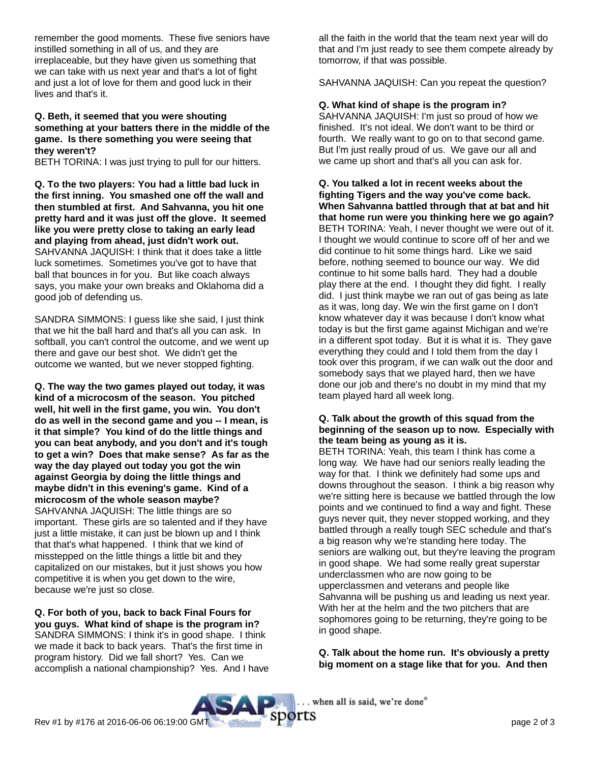remember the good moments. These five seniors have instilled something in all of us, and they are irreplaceable, but they have given us something that we can take with us next year and that's a lot of fight and just a lot of love for them and good luck in their lives and that's it.

#### **Q. Beth, it seemed that you were shouting something at your batters there in the middle of the game. Is there something you were seeing that they weren't?**

BETH TORINA: I was just trying to pull for our hitters.

**Q. To the two players: You had a little bad luck in the first inning. You smashed one off the wall and then stumbled at first. And Sahvanna, you hit one pretty hard and it was just off the glove. It seemed like you were pretty close to taking an early lead and playing from ahead, just didn't work out.** SAHVANNA JAQUISH: I think that it does take a little luck sometimes. Sometimes you've got to have that ball that bounces in for you. But like coach always says, you make your own breaks and Oklahoma did a good job of defending us.

SANDRA SIMMONS: I guess like she said, I just think that we hit the ball hard and that's all you can ask. In softball, you can't control the outcome, and we went up there and gave our best shot. We didn't get the outcome we wanted, but we never stopped fighting.

**Q. The way the two games played out today, it was kind of a microcosm of the season. You pitched well, hit well in the first game, you win. You don't do as well in the second game and you -- I mean, is it that simple? You kind of do the little things and you can beat anybody, and you don't and it's tough to get a win? Does that make sense? As far as the way the day played out today you got the win against Georgia by doing the little things and maybe didn't in this evening's game. Kind of a microcosm of the whole season maybe?** SAHVANNA JAQUISH: The little things are so important. These girls are so talented and if they have just a little mistake, it can just be blown up and I think that that's what happened. I think that we kind of misstepped on the little things a little bit and they capitalized on our mistakes, but it just shows you how competitive it is when you get down to the wire, because we're just so close.

**Q. For both of you, back to back Final Fours for you guys. What kind of shape is the program in?** SANDRA SIMMONS: I think it's in good shape. I think

we made it back to back years. That's the first time in program history. Did we fall short? Yes. Can we accomplish a national championship? Yes. And I have all the faith in the world that the team next year will do that and I'm just ready to see them compete already by tomorrow, if that was possible.

SAHVANNA JAQUISH: Can you repeat the question?

**Q. What kind of shape is the program in?**

SAHVANNA JAQUISH: I'm just so proud of how we finished. It's not ideal. We don't want to be third or fourth. We really want to go on to that second game. But I'm just really proud of us. We gave our all and we came up short and that's all you can ask for.

**Q. You talked a lot in recent weeks about the fighting Tigers and the way you've come back. When Sahvanna battled through that at bat and hit that home run were you thinking here we go again?** BETH TORINA: Yeah, I never thought we were out of it. I thought we would continue to score off of her and we did continue to hit some things hard. Like we said before, nothing seemed to bounce our way. We did continue to hit some balls hard. They had a double play there at the end. I thought they did fight. I really did. I just think maybe we ran out of gas being as late as it was, long day. We win the first game on I don't know whatever day it was because I don't know what today is but the first game against Michigan and we're in a different spot today. But it is what it is. They gave everything they could and I told them from the day I took over this program, if we can walk out the door and somebody says that we played hard, then we have done our job and there's no doubt in my mind that my team played hard all week long.

#### **Q. Talk about the growth of this squad from the beginning of the season up to now. Especially with the team being as young as it is.**

BETH TORINA: Yeah, this team I think has come a long way. We have had our seniors really leading the way for that. I think we definitely had some ups and downs throughout the season. I think a big reason why we're sitting here is because we battled through the low points and we continued to find a way and fight. These guys never quit, they never stopped working, and they battled through a really tough SEC schedule and that's a big reason why we're standing here today. The seniors are walking out, but they're leaving the program in good shape. We had some really great superstar underclassmen who are now going to be upperclassmen and veterans and people like Sahvanna will be pushing us and leading us next year. With her at the helm and the two pitchers that are sophomores going to be returning, they're going to be in good shape.

**Q. Talk about the home run. It's obviously a pretty big moment on a stage like that for you. And then**

. when all is said, we're done"